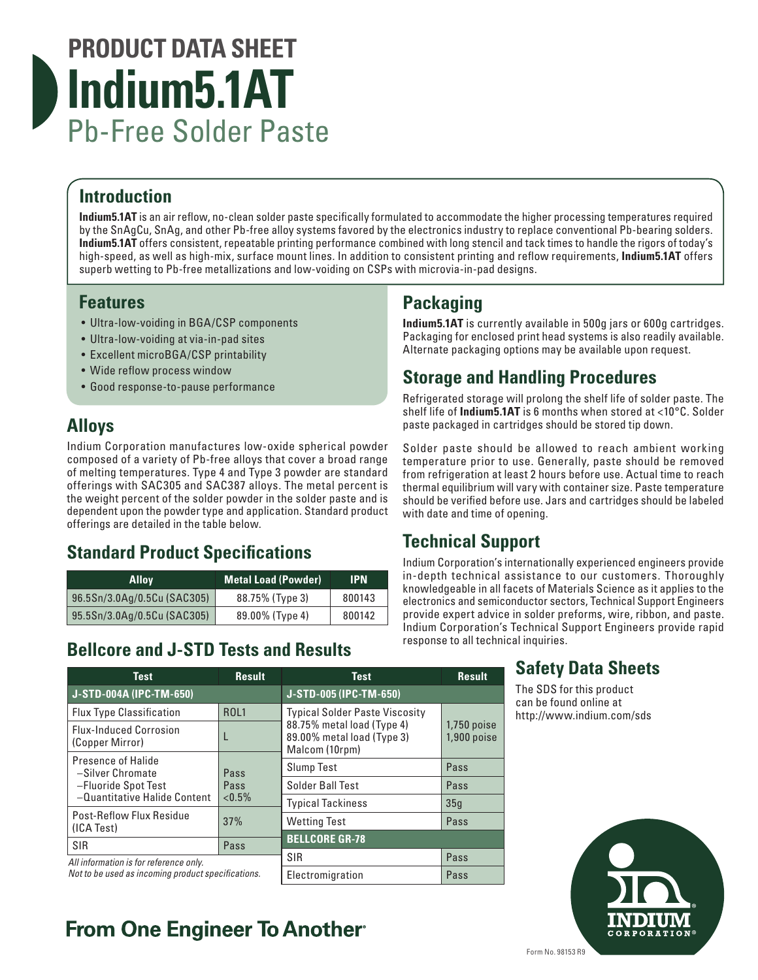# **PRODUCT DATA SHEET Indium5.1AT** Pb-Free Solder Paste

# **Introduction**

**Indium5.1AT** is an air reflow, no-clean solder paste specifically formulated to accommodate the higher processing temperatures required by the SnAgCu, SnAg, and other Pb-free alloy systems favored by the electronics industry to replace conventional Pb-bearing solders. **Indium5.1AT** offers consistent, repeatable printing performance combined with long stencil and tack times to handle the rigors of today's high-speed, as well as high-mix, surface mount lines. In addition to consistent printing and reflow requirements, **Indium5.1AT** offers superb wetting to Pb-free metallizations and low-voiding on CSPs with microvia-in-pad designs.

### **Features**

- Ultra-low-voiding in BGA/CSP components
- Ultra-low-voiding at via-in-pad sites
- Excellent microBGA/CSP printability
- Wide reflow process window
- Good response-to-pause performance

# **Alloys**

Indium Corporation manufactures low-oxide spherical powder composed of a variety of Pb-free alloys that cover a broad range of melting temperatures. Type 4 and Type 3 powder are standard offerings with SAC305 and SAC387 alloys. The metal percent is the weight percent of the solder powder in the solder paste and is dependent upon the powder type and application. Standard product offerings are detailed in the table below.

# **Standard Product Specifications**

| <b>Alloy</b>                | <b>Metal Load (Powder)</b> | 'IPN.  |
|-----------------------------|----------------------------|--------|
| 96.5Sn/3.0Ag/0.5Cu (SAC305) | 88.75% (Type 3)            | 800143 |
| 95.5Sn/3.0Ag/0.5Cu (SAC305) | 89.00% (Type 4)            | 800142 |

# **Bellcore and J-STD Tests and Results**

# **Packaging**

**Indium5.1AT** is currently available in 500g jars or 600g cartridges. Packaging for enclosed print head systems is also readily available. Alternate packaging options may be available upon request.

# **Storage and Handling Procedures**

Refrigerated storage will prolong the shelf life of solder paste. The shelf life of **Indium5.1AT** is 6 months when stored at <10°C. Solder paste packaged in cartridges should be stored tip down.

Solder paste should be allowed to reach ambient working temperature prior to use. Generally, paste should be removed from refrigeration at least 2 hours before use. Actual time to reach thermal equilibrium will vary with container size. Paste temperature should be verified before use. Jars and cartridges should be labeled with date and time of opening.

# **Technical Support**

Indium Corporation's internationally experienced engineers provide in-depth technical assistance to our customers. Thoroughly knowledgeable in all facets of Materials Science as it applies to the electronics and semiconductor sectors, Technical Support Engineers provide expert advice in solder preforms, wire, ribbon, and paste. Indium Corporation's Technical Support Engineers provide rapid response to all technical inquiries.

| <b>Test</b>                                                                                   | <b>Result</b> | <b>Test</b>                                                                | <b>Result</b>                  |
|-----------------------------------------------------------------------------------------------|---------------|----------------------------------------------------------------------------|--------------------------------|
| J-STD-004A (IPC-TM-650)                                                                       |               | J-STD-005 (IPC-TM-650)                                                     |                                |
| <b>Flux Type Classification</b>                                                               | <b>ROL1</b>   | <b>Typical Solder Paste Viscosity</b>                                      |                                |
| <b>Flux-Induced Corrosion</b><br>(Copper Mirror)                                              |               | 88.75% metal load (Type 4)<br>89.00% metal load (Type 3)<br>Malcom (10rpm) | $1,750$ poise<br>$1,900$ poise |
| Presence of Halide<br>-Silver Chromate<br>-Fluoride Spot Test<br>-Quantitative Halide Content | Pass          | <b>Slump Test</b>                                                          | Pass                           |
|                                                                                               | Pass          | Solder Ball Test                                                           | Pass                           |
|                                                                                               | $< 0.5\%$     | <b>Typical Tackiness</b>                                                   | 35q                            |
| Post-Reflow Flux Residue<br>(ICA Test)                                                        | 37%           | <b>Wetting Test</b>                                                        | Pass                           |
| <b>SIR</b>                                                                                    | Pass          | <b>BELLCORE GR-78</b>                                                      |                                |
| All information is for reference only.<br>Not to be used as incoming product specifications.  |               | <b>SIR</b>                                                                 | Pass                           |
|                                                                                               |               | Electromigration                                                           | Pass                           |

# **From One Engineer To Another**

# **Safety Data Sheets**

The SDS for this product can be found online at http://www.indium.com/sds